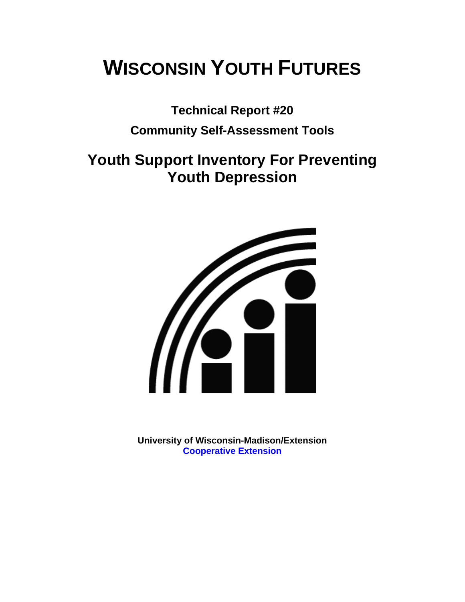# **WISCONSIN YOUTH FUTURES**

**Technical Report #20** 

### **Community Self-Assessment Tools**

# **Youth Support Inventory For Preventing Youth Depression**



**University of Wisconsin-Madison/Extension [Cooperative Extension](http://www1.uwex.edu/ces/index.cfm)**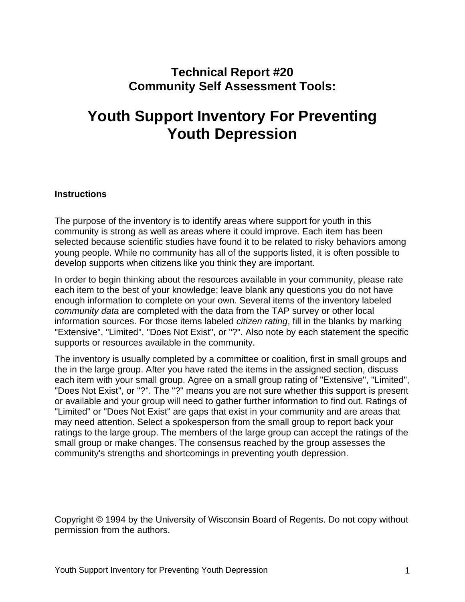### **Technical Report #20 Community Self Assessment Tools:**

# **Youth Support Inventory For Preventing Youth Depression**

#### **Instructions**

The purpose of the inventory is to identify areas where support for youth in this community is strong as well as areas where it could improve. Each item has been selected because scientific studies have found it to be related to risky behaviors among young people. While no community has all of the supports listed, it is often possible to develop supports when citizens like you think they are important.

In order to begin thinking about the resources available in your community, please rate each item to the best of your knowledge; leave blank any questions you do not have enough information to complete on your own. Several items of the inventory labeled *community data* are completed with the data from the TAP survey or other local information sources. For those items labeled *citizen rating*, fill in the blanks by marking "Extensive", "Limited", "Does Not Exist", or "?". Also note by each statement the specific supports or resources available in the community.

The inventory is usually completed by a committee or coalition, first in small groups and the in the large group. After you have rated the items in the assigned section, discuss each item with your small group. Agree on a small group rating of "Extensive", "Limited", "Does Not Exist", or "?". The "?" means you are not sure whether this support is present or available and your group will need to gather further information to find out. Ratings of "Limited" or "Does Not Exist" are gaps that exist in your community and are areas that may need attention. Select a spokesperson from the small group to report back your ratings to the large group. The members of the large group can accept the ratings of the small group or make changes. The consensus reached by the group assesses the community's strengths and shortcomings in preventing youth depression.

Copyright © 1994 by the University of Wisconsin Board of Regents. Do not copy without permission from the authors.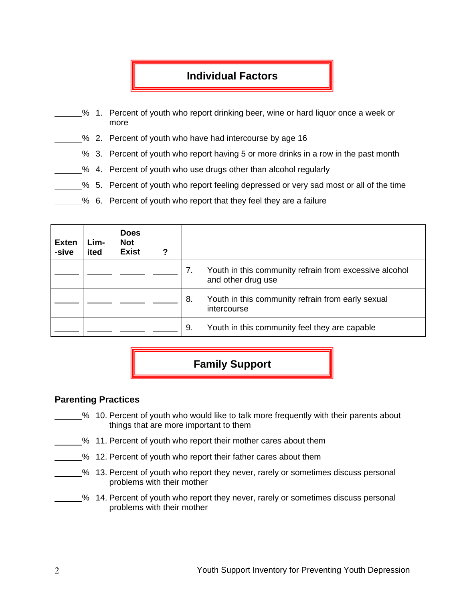#### **Individual Factors**

- % 1. Percent of youth who report drinking beer, wine or hard liquor once a week or more
- % 2. Percent of youth who have had intercourse by age 16
- % 3. Percent of youth who report having 5 or more drinks in a row in the past month
	- % 4. Percent of youth who use drugs other than alcohol regularly
- % 5. Percent of youth who report feeling depressed or very sad most or all of the time
- % 6. Percent of youth who report that they feel they are a failure

| <b>Exten</b><br>-sive | Lim-<br>ited | <b>Does</b><br><b>Not</b><br><b>Exist</b> | 2 |    |                                                                              |
|-----------------------|--------------|-------------------------------------------|---|----|------------------------------------------------------------------------------|
|                       |              |                                           |   | 7. | Youth in this community refrain from excessive alcohol<br>and other drug use |
|                       |              |                                           |   | 8. | Youth in this community refrain from early sexual<br>intercourse             |
|                       |              |                                           |   | 9. | Youth in this community feel they are capable                                |

## **Family Support**

#### **Parenting Practices**

- % 10. Percent of youth who would like to talk more frequently with their parents about things that are more important to them
- % 11. Percent of youth who report their mother cares about them
- % 12. Percent of youth who report their father cares about them
- 5% 13. Percent of youth who report they never, rarely or sometimes discuss personal problems with their mother
- % 14. Percent of youth who report they never, rarely or sometimes discuss personal problems with their mother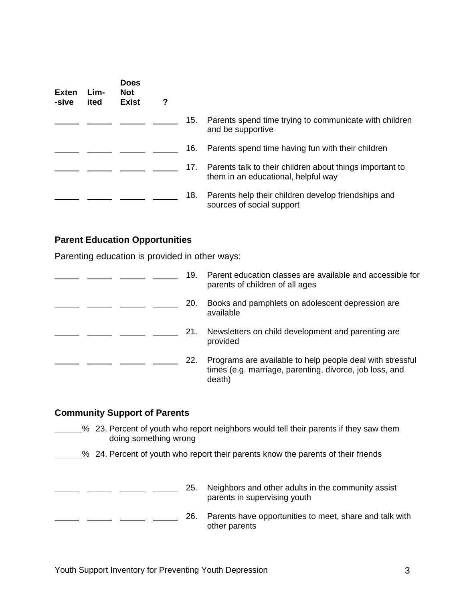| <b>Exten</b><br>-sive | Lim-<br>ited | <b>Does</b><br><b>Not</b><br><b>Exist</b> | ? |     |                                                                                                 |
|-----------------------|--------------|-------------------------------------------|---|-----|-------------------------------------------------------------------------------------------------|
|                       |              |                                           |   | 15. | Parents spend time trying to communicate with children<br>and be supportive                     |
|                       |              |                                           |   | 16. | Parents spend time having fun with their children                                               |
|                       |              |                                           |   | 17. | Parents talk to their children about things important to<br>them in an educational, helpful way |
|                       |              |                                           |   | 18. | Parents help their children develop friendships and<br>sources of social support                |

#### **Parent Education Opportunities**

Parenting education is provided in other ways:

| 19. | Parent education classes are available and accessible for<br>parents of children of all ages                                   |
|-----|--------------------------------------------------------------------------------------------------------------------------------|
| 20. | Books and pamphlets on adolescent depression are<br>available                                                                  |
| 21. | Newsletters on child development and parenting are.<br>provided                                                                |
| 22. | Programs are available to help people deal with stressful<br>times (e.g. marriage, parenting, divorce, job loss, and<br>death) |

#### **Community Support of Parents**

- % 23. Percent of youth who report neighbors would tell their parents if they saw them doing something wrong
- % 24. Percent of youth who report their parents know the parents of their friends

| 25. | Neighbors and other adults in the community assist<br>parents in supervising youth |
|-----|------------------------------------------------------------------------------------|
| 26. | Parents have opportunities to meet, share and talk with<br>other parents           |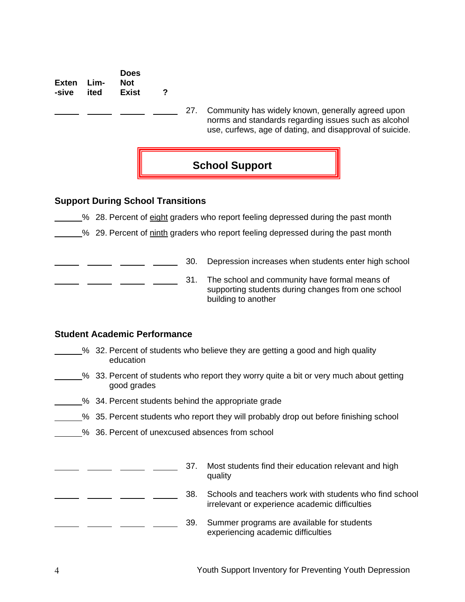**Exten Lim--sive ited Does Not Exist ?** 

> 27. Community has widely known, generally agreed upon norms and standards regarding issues such as alcohol use, curfews, age of dating, and disapproval of suicide.



#### **Support During School Transitions**

28. Percent of eight graders who report feeling depressed during the past month

<sup>26</sup> 29. Percent of ninth graders who report feeling depressed during the past month

<sup>2</sup> <u>2005</u> 20. Depression increases when students enter high school

**Fig.** 21. The school and community have formal means of supporting students during changes from one school building to another

#### **Student Academic Performance**

- % 32. Percent of students who believe they are getting a good and high quality education
- $\frac{1}{2}$ % 33. Percent of students who report they worry quite a bit or very much about getting good grades
- <sup>2</sup>% 34. Percent students behind the appropriate grade
- <sup>26</sup> 35. Percent students who report they will probably drop out before finishing school
- % 36. Percent of unexcused absences from school

|  |  | 37. | Most students find their education relevant and high<br>quality                                           |
|--|--|-----|-----------------------------------------------------------------------------------------------------------|
|  |  | 38. | Schools and teachers work with students who find school<br>irrelevant or experience academic difficulties |
|  |  | 39. | Summer programs are available for students<br>experiencing academic difficulties                          |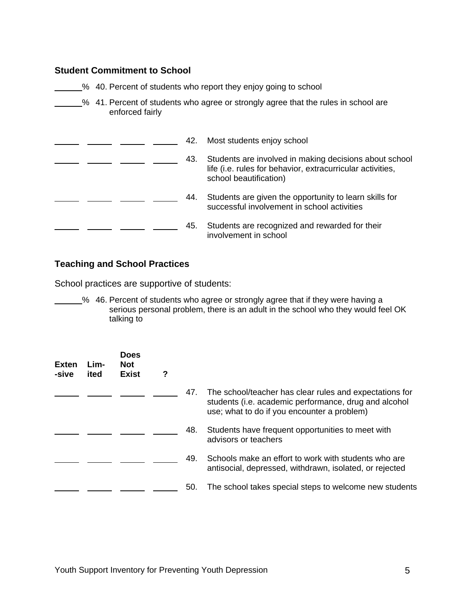#### **Student Commitment to School**

- **2008** 40. Percent of students who report they enjoy going to school
- **2008** 41. Percent of students who agree or strongly agree that the rules in school are enforced fairly

|  |  | 42. | Most students enjoy school                                                                                                                     |
|--|--|-----|------------------------------------------------------------------------------------------------------------------------------------------------|
|  |  | 43. | Students are involved in making decisions about school<br>life (i.e. rules for behavior, extracurricular activities,<br>school beautification) |
|  |  | 44. | Students are given the opportunity to learn skills for<br>successful involvement in school activities                                          |
|  |  | 45. | Students are recognized and rewarded for their<br>involvement in school                                                                        |

#### **Teaching and School Practices**

School practices are supportive of students:

% 46. Percent of students who agree or strongly agree that if they were having a serious personal problem, there is an adult in the school who they would feel OK talking to

| <b>Exten</b><br>-sive | Lim-<br>ited | <b>Does</b><br><b>Not</b><br><b>Exist</b> | ? |     |                                                                                                                                                                 |
|-----------------------|--------------|-------------------------------------------|---|-----|-----------------------------------------------------------------------------------------------------------------------------------------------------------------|
|                       |              |                                           |   | 47. | The school/teacher has clear rules and expectations for<br>students (i.e. academic performance, drug and alcohol<br>use; what to do if you encounter a problem) |
|                       |              |                                           |   | 48. | Students have frequent opportunities to meet with<br>advisors or teachers                                                                                       |
|                       |              |                                           |   | 49. | Schools make an effort to work with students who are<br>antisocial, depressed, withdrawn, isolated, or rejected                                                 |
|                       |              |                                           |   | 50. | The school takes special steps to welcome new students                                                                                                          |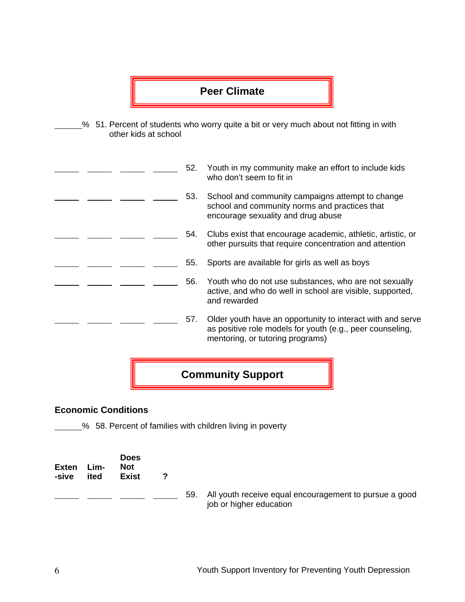### **Peer Climate**

% 51. Percent of students who worry quite a bit or very much about not fitting in with other kids at school

|  |     | <b>Community Support</b>                                                                                                                                    |
|--|-----|-------------------------------------------------------------------------------------------------------------------------------------------------------------|
|  | 57. | Older youth have an opportunity to interact with and serve<br>as positive role models for youth (e.g., peer counseling,<br>mentoring, or tutoring programs) |
|  | 56. | Youth who do not use substances, who are not sexually<br>active, and who do well in school are visible, supported,<br>and rewarded                          |
|  | 55. | Sports are available for girls as well as boys                                                                                                              |
|  | 54. | Clubs exist that encourage academic, athletic, artistic, or<br>other pursuits that require concentration and attention                                      |
|  | 53. | School and community campaigns attempt to change<br>school and community norms and practices that<br>encourage sexuality and drug abuse                     |
|  | 52. | Youth in my community make an effort to include kids<br>who don't seem to fit in                                                                            |

#### **Economic Conditions**

58. Percent of families with children living in poverty

| <b>Exten</b><br>-sive | Lim-<br>ited | <b>Does</b><br><b>Not</b><br><b>Exist</b> |     |                                                                                   |
|-----------------------|--------------|-------------------------------------------|-----|-----------------------------------------------------------------------------------|
|                       |              |                                           | 59. | All youth receive equal encouragement to pursue a good<br>job or higher education |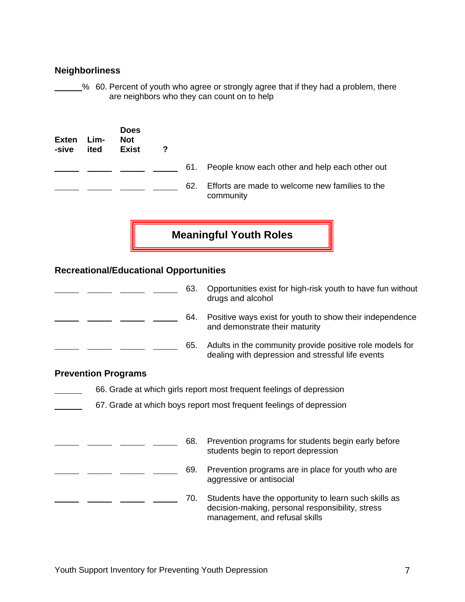#### **Neighborliness**

60. Percent of youth who agree or strongly agree that if they had a problem, there are neighbors who they can count on to help

| <b>Exten</b><br>-sive | Lim-<br>ited | <b>Does</b><br>Not<br><b>Exist</b> | ? |     |                                                              |
|-----------------------|--------------|------------------------------------|---|-----|--------------------------------------------------------------|
|                       |              |                                    |   | 61. | People know each other and help each other out               |
|                       |              |                                    |   | 62. | Efforts are made to welcome new families to the<br>community |

**Meaningful Youth Roles** 

#### **Recreational/Educational Opportunities**

|                            | 63. | Opportunities exist for high-risk youth to have fun without<br>drugs and alcohol                                                            |
|----------------------------|-----|---------------------------------------------------------------------------------------------------------------------------------------------|
|                            | 64. | Positive ways exist for youth to show their independence<br>and demonstrate their maturity                                                  |
|                            | 65. | Adults in the community provide positive role models for<br>dealing with depression and stressful life events                               |
| <b>Prevention Programs</b> |     |                                                                                                                                             |
|                            |     | 66. Grade at which girls report most frequent feelings of depression                                                                        |
|                            |     | 67. Grade at which boys report most frequent feelings of depression                                                                         |
|                            |     |                                                                                                                                             |
|                            | 68. | Prevention programs for students begin early before<br>students begin to report depression                                                  |
|                            | 69. | Prevention programs are in place for youth who are<br>aggressive or antisocial                                                              |
|                            | 70. | Students have the opportunity to learn such skills as<br>decision-making, personal responsibility, stress<br>management, and refusal skills |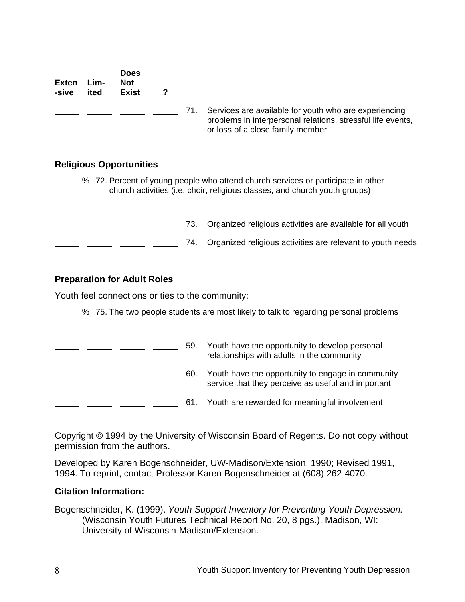| <b>Exten</b><br>-sive | Lim-<br>ited | <b>Does</b><br><b>Not</b><br><b>Exist</b> | ?   |                                                                                                                                                                |
|-----------------------|--------------|-------------------------------------------|-----|----------------------------------------------------------------------------------------------------------------------------------------------------------------|
|                       |              |                                           | 71. | Services are available for youth who are experiencing<br>problems in interpersonal relations, stressful life events,<br>or loss of a close family member       |
|                       |              | <b>Religious Opportunities</b>            |     |                                                                                                                                                                |
|                       |              |                                           |     | % 72. Percent of young people who attend church services or participate in other<br>church activities (i.e. choir, religious classes, and church youth groups) |
|                       |              |                                           | 73. | Organized religious activities are available for all youth                                                                                                     |

**EXECUTE: EXECUTE: THE:** 74. Organized religious activities are relevant to youth needs

#### **Preparation for Adult Roles**

Youth feel connections or ties to the community:

% 75. The two people students are most likely to talk to regarding personal problems

| 59. | Youth have the opportunity to develop personal<br>relationships with adults in the community            |
|-----|---------------------------------------------------------------------------------------------------------|
| 60. | Youth have the opportunity to engage in community<br>service that they perceive as useful and important |
| 61. | Youth are rewarded for meaningful involvement                                                           |

Copyright © 1994 by the University of Wisconsin Board of Regents. Do not copy without permission from the authors.

Developed by Karen Bogenschneider, UW-Madison/Extension, 1990; Revised 1991, 1994. To reprint, contact Professor Karen Bogenschneider at (608) 262-4070.

#### **Citation Information:**

Bogenschneider, K. (1999). *Youth Support Inventory for Preventing Youth Depression.* (Wisconsin Youth Futures Technical Report No. 20, 8 pgs.). Madison, WI: University of Wisconsin-Madison/Extension.